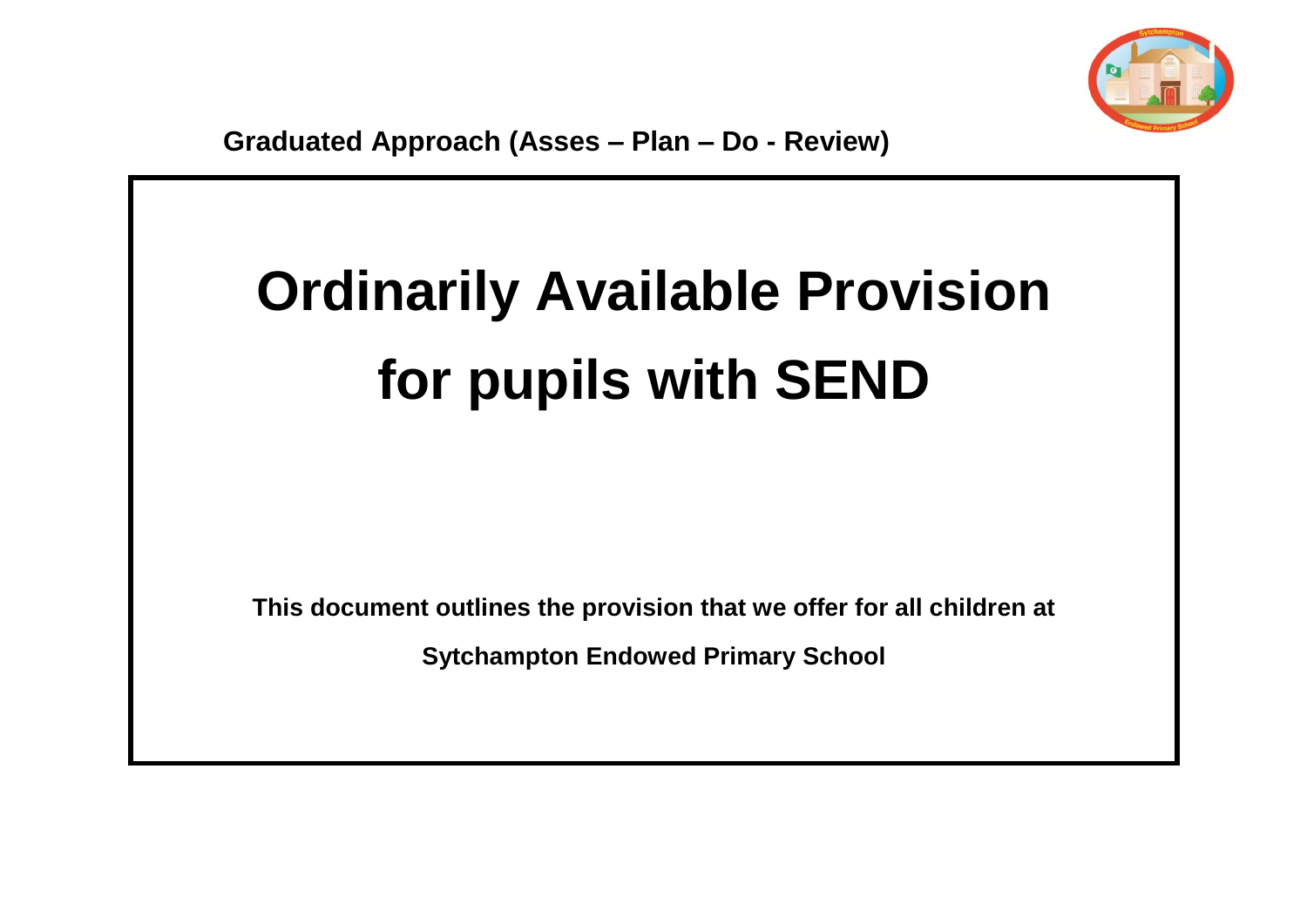

## **Ordinarily Available Provision for pupils with SEND**

**This document outlines the provision that we offer for all children at**

**Sytchampton Endowed Primary School**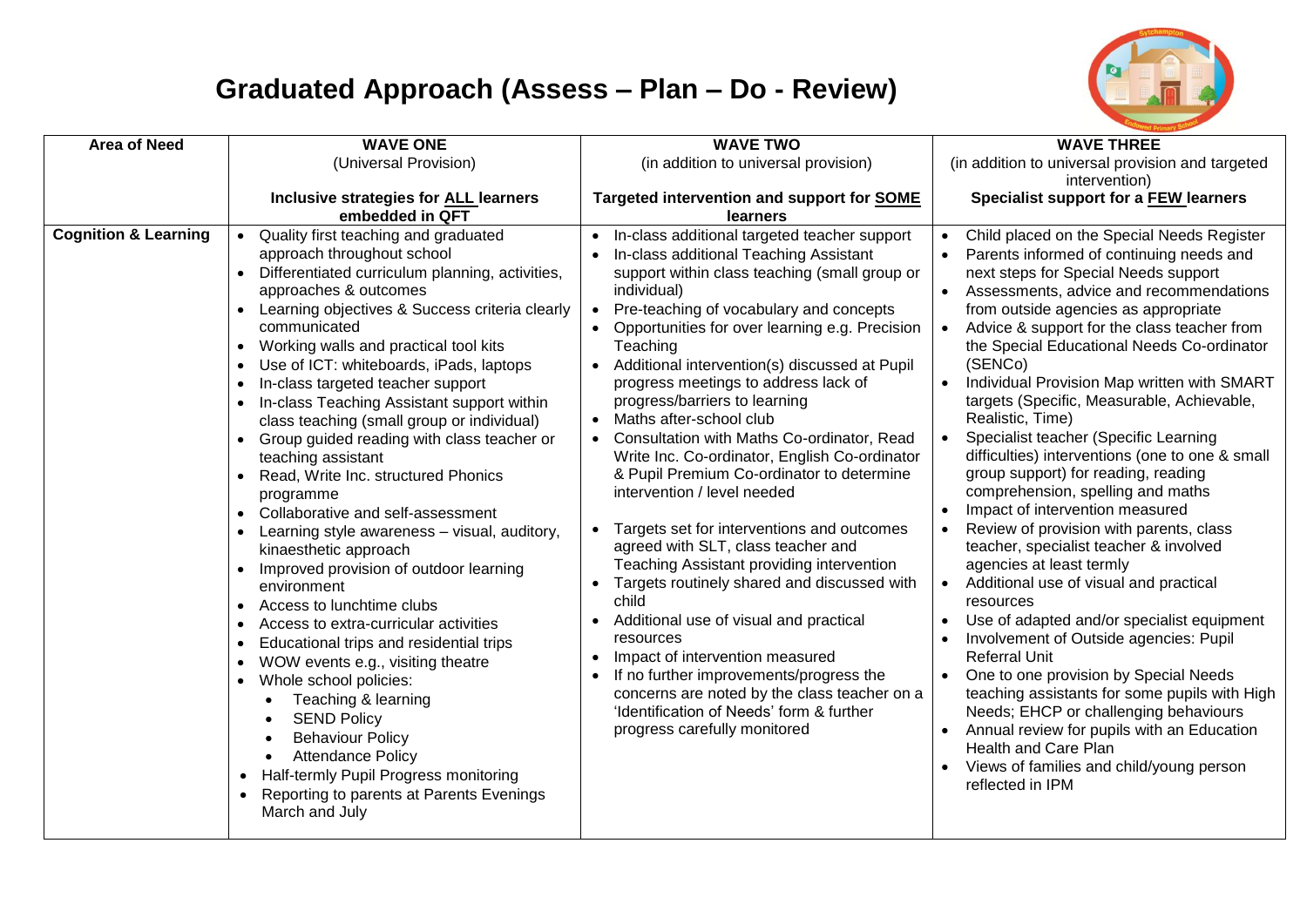

## **Graduated Approach (Assess – Plan – Do - Review)**

| <b>Area of Need</b>             | <b>WAVE ONE</b>                                       | <b>WAVE TWO</b>                                      | <b>WAVE THREE</b>                                       |
|---------------------------------|-------------------------------------------------------|------------------------------------------------------|---------------------------------------------------------|
|                                 | (Universal Provision)                                 | (in addition to universal provision)                 | (in addition to universal provision and targeted        |
|                                 |                                                       |                                                      | intervention)                                           |
|                                 | Inclusive strategies for ALL learners                 | Targeted intervention and support for SOME           | Specialist support for a FEW learners                   |
|                                 | embedded in QFT                                       | learners                                             |                                                         |
| <b>Cognition &amp; Learning</b> | Quality first teaching and graduated                  | In-class additional targeted teacher support         | Child placed on the Special Needs Register<br>$\bullet$ |
|                                 | approach throughout school                            | In-class additional Teaching Assistant               | Parents informed of continuing needs and                |
|                                 | Differentiated curriculum planning, activities,       | support within class teaching (small group or        | next steps for Special Needs support                    |
|                                 | approaches & outcomes                                 | individual)                                          | Assessments, advice and recommendations                 |
|                                 | Learning objectives & Success criteria clearly        | Pre-teaching of vocabulary and concepts<br>$\bullet$ | from outside agencies as appropriate                    |
|                                 | communicated                                          | Opportunities for over learning e.g. Precision       | Advice & support for the class teacher from             |
|                                 | Working walls and practical tool kits                 | Teaching                                             | the Special Educational Needs Co-ordinator              |
|                                 | Use of ICT: whiteboards, iPads, laptops               | Additional intervention(s) discussed at Pupil        | (SENCo)                                                 |
|                                 | In-class targeted teacher support                     | progress meetings to address lack of                 | Individual Provision Map written with SMART             |
|                                 | In-class Teaching Assistant support within            | progress/barriers to learning                        | targets (Specific, Measurable, Achievable,              |
|                                 | class teaching (small group or individual)            | Maths after-school club<br>$\bullet$                 | Realistic, Time)                                        |
|                                 | Group guided reading with class teacher or            | Consultation with Maths Co-ordinator, Read           | Specialist teacher (Specific Learning<br>$\bullet$      |
|                                 | teaching assistant                                    | Write Inc. Co-ordinator, English Co-ordinator        | difficulties) interventions (one to one & small         |
|                                 | Read, Write Inc. structured Phonics                   | & Pupil Premium Co-ordinator to determine            | group support) for reading, reading                     |
|                                 | programme                                             | intervention / level needed                          | comprehension, spelling and maths                       |
|                                 | • Collaborative and self-assessment                   |                                                      | Impact of intervention measured<br>$\bullet$            |
|                                 | Learning style awareness - visual, auditory,          | Targets set for interventions and outcomes           | Review of provision with parents, class                 |
|                                 | kinaesthetic approach                                 | agreed with SLT, class teacher and                   | teacher, specialist teacher & involved                  |
|                                 |                                                       | Teaching Assistant providing intervention            | agencies at least termly                                |
|                                 | Improved provision of outdoor learning<br>environment | Targets routinely shared and discussed with          | Additional use of visual and practical<br>$\bullet$     |
|                                 | Access to lunchtime clubs                             | child                                                | resources                                               |
|                                 |                                                       | Additional use of visual and practical               | Use of adapted and/or specialist equipment              |
|                                 | Access to extra-curricular activities                 | resources                                            | Involvement of Outside agencies: Pupil                  |
|                                 | Educational trips and residential trips               | Impact of intervention measured                      | <b>Referral Unit</b>                                    |
|                                 | WOW events e.g., visiting theatre                     | If no further improvements/progress the              | One to one provision by Special Needs                   |
|                                 | Whole school policies:<br>$\bullet$                   | concerns are noted by the class teacher on a         | teaching assistants for some pupils with High           |
|                                 | Teaching & learning<br>$\bullet$                      | 'Identification of Needs' form & further             | Needs; EHCP or challenging behaviours                   |
|                                 | <b>SEND Policy</b><br>$\bullet$                       | progress carefully monitored                         | Annual review for pupils with an Education              |
|                                 | <b>Behaviour Policy</b><br>$\bullet$                  |                                                      | Health and Care Plan                                    |
|                                 | <b>Attendance Policy</b><br>$\bullet$                 |                                                      | Views of families and child/young person                |
|                                 | Half-termly Pupil Progress monitoring<br>$\bullet$    |                                                      |                                                         |
|                                 | Reporting to parents at Parents Evenings<br>$\bullet$ |                                                      | reflected in IPM                                        |
|                                 | March and July                                        |                                                      |                                                         |
|                                 |                                                       |                                                      |                                                         |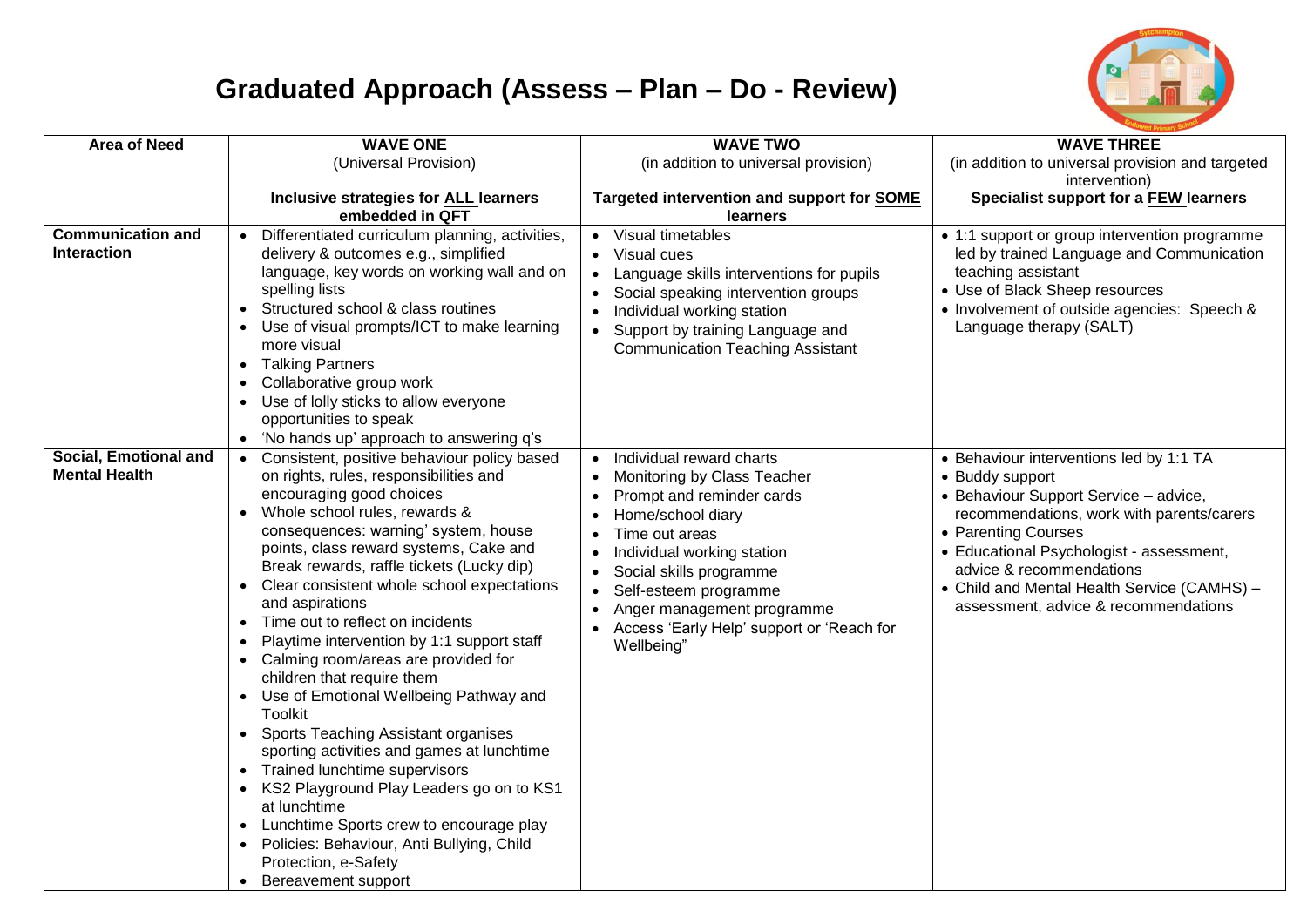

## **Graduated Approach (Assess – Plan – Do - Review)**

| <b>Area of Need</b>                            | <b>WAVE ONE</b>                                                                                                                                                                                                                                                                                                                                                                                                                                                                                                                                                                                                                                                                                                                                                                                                                                                                                                                                                   | <b>WAVE TWO</b>                                                                                                                                                                                                                                                                                                     | <b>WAVE THREE</b>                                                                                                                                                                                                                                                                                                                      |
|------------------------------------------------|-------------------------------------------------------------------------------------------------------------------------------------------------------------------------------------------------------------------------------------------------------------------------------------------------------------------------------------------------------------------------------------------------------------------------------------------------------------------------------------------------------------------------------------------------------------------------------------------------------------------------------------------------------------------------------------------------------------------------------------------------------------------------------------------------------------------------------------------------------------------------------------------------------------------------------------------------------------------|---------------------------------------------------------------------------------------------------------------------------------------------------------------------------------------------------------------------------------------------------------------------------------------------------------------------|----------------------------------------------------------------------------------------------------------------------------------------------------------------------------------------------------------------------------------------------------------------------------------------------------------------------------------------|
|                                                | (Universal Provision)                                                                                                                                                                                                                                                                                                                                                                                                                                                                                                                                                                                                                                                                                                                                                                                                                                                                                                                                             | (in addition to universal provision)                                                                                                                                                                                                                                                                                | (in addition to universal provision and targeted                                                                                                                                                                                                                                                                                       |
|                                                |                                                                                                                                                                                                                                                                                                                                                                                                                                                                                                                                                                                                                                                                                                                                                                                                                                                                                                                                                                   |                                                                                                                                                                                                                                                                                                                     | intervention)                                                                                                                                                                                                                                                                                                                          |
|                                                | Inclusive strategies for ALL learners<br>embedded in QFT                                                                                                                                                                                                                                                                                                                                                                                                                                                                                                                                                                                                                                                                                                                                                                                                                                                                                                          | Targeted intervention and support for SOME<br><b>learners</b>                                                                                                                                                                                                                                                       | Specialist support for a FEW learners                                                                                                                                                                                                                                                                                                  |
| <b>Communication and</b><br><b>Interaction</b> | Differentiated curriculum planning, activities,<br>delivery & outcomes e.g., simplified<br>language, key words on working wall and on<br>spelling lists<br>Structured school & class routines<br>Use of visual prompts/ICT to make learning<br>more visual<br><b>Talking Partners</b><br>Collaborative group work<br>Use of lolly sticks to allow everyone<br>opportunities to speak<br>'No hands up' approach to answering q's                                                                                                                                                                                                                                                                                                                                                                                                                                                                                                                                   | Visual timetables<br>Visual cues<br>$\bullet$<br>Language skills interventions for pupils<br>$\bullet$<br>Social speaking intervention groups<br>Individual working station<br>Support by training Language and<br>$\bullet$<br><b>Communication Teaching Assistant</b>                                             | • 1:1 support or group intervention programme<br>led by trained Language and Communication<br>teaching assistant<br>• Use of Black Sheep resources<br>• Involvement of outside agencies: Speech &<br>Language therapy (SALT)                                                                                                           |
| Social, Emotional and<br><b>Mental Health</b>  | • Consistent, positive behaviour policy based<br>on rights, rules, responsibilities and<br>encouraging good choices<br>Whole school rules, rewards &<br>consequences: warning' system, house<br>points, class reward systems, Cake and<br>Break rewards, raffle tickets (Lucky dip)<br>Clear consistent whole school expectations<br>$\bullet$<br>and aspirations<br>Time out to reflect on incidents<br>$\bullet$<br>Playtime intervention by 1:1 support staff<br>Calming room/areas are provided for<br>children that require them<br>Use of Emotional Wellbeing Pathway and<br>$\bullet$<br>Toolkit<br><b>Sports Teaching Assistant organises</b><br>$\bullet$<br>sporting activities and games at lunchtime<br>Trained lunchtime supervisors<br>KS2 Playground Play Leaders go on to KS1<br>at lunchtime<br>Lunchtime Sports crew to encourage play<br>$\bullet$<br>Policies: Behaviour, Anti Bullying, Child<br>Protection, e-Safety<br>Bereavement support | Individual reward charts<br>Monitoring by Class Teacher<br>Prompt and reminder cards<br>Home/school diary<br>Time out areas<br>Individual working station<br>$\bullet$<br>Social skills programme<br>Self-esteem programme<br>Anger management programme<br>Access 'Early Help' support or 'Reach for<br>Wellbeing" | • Behaviour interventions led by 1:1 TA<br>• Buddy support<br>• Behaviour Support Service - advice,<br>recommendations, work with parents/carers<br>• Parenting Courses<br>• Educational Psychologist - assessment,<br>advice & recommendations<br>• Child and Mental Health Service (CAMHS) -<br>assessment, advice & recommendations |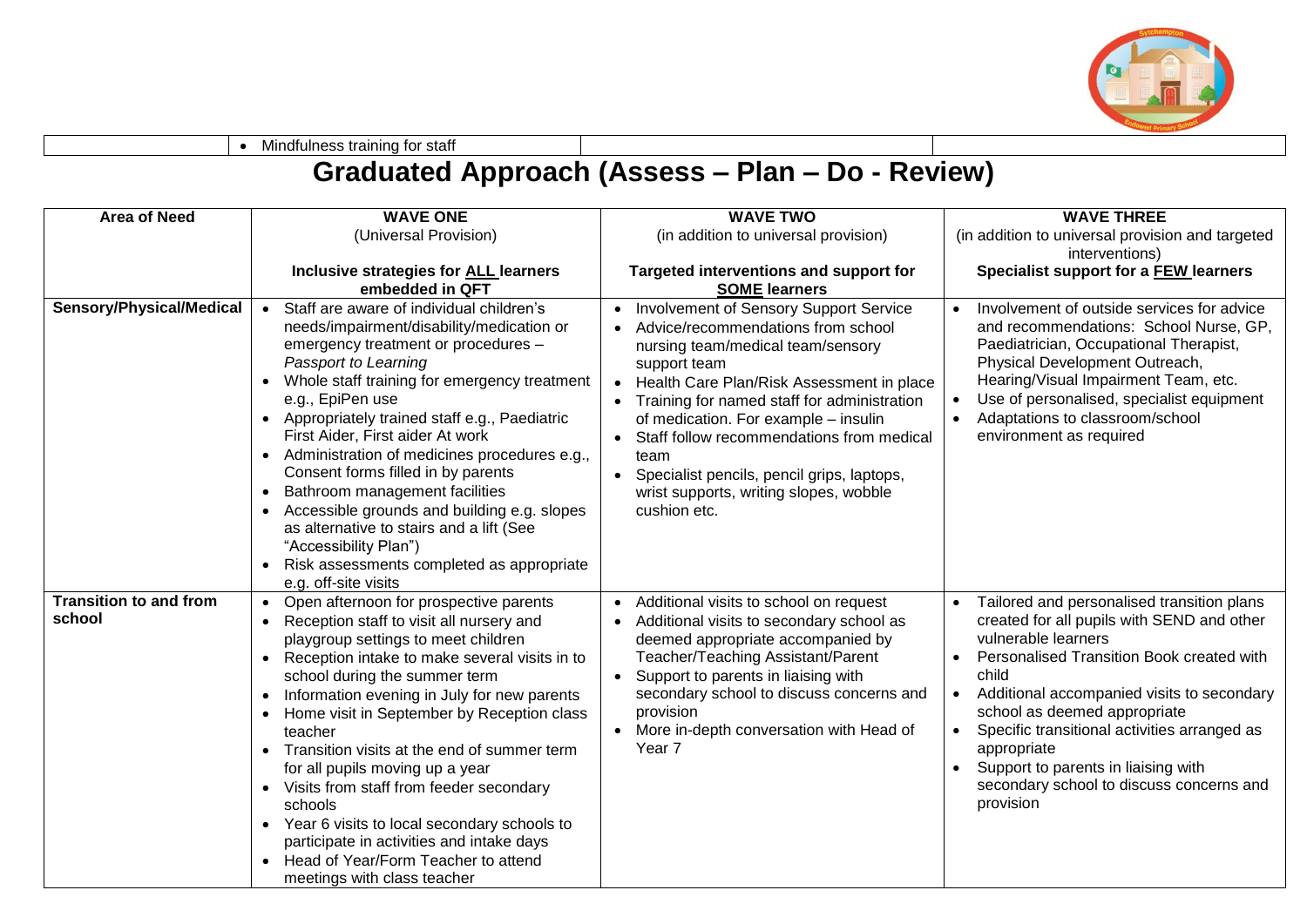

• Mindfulness training for staff

## **Graduated Approach (Assess – Plan – Do - Review)**

| <b>Area of Need</b>           | <b>WAVE ONE</b>                                                                                                                                                                                                                                                                                                                                                                                                                                                                                                                                                                                                                                                                   | <b>WAVE TWO</b>                                                                                                                                                                                                                                                                                                                                                                                                                                 | <b>WAVE THREE</b>                                                                                                                                                                                                                                                                                                   |
|-------------------------------|-----------------------------------------------------------------------------------------------------------------------------------------------------------------------------------------------------------------------------------------------------------------------------------------------------------------------------------------------------------------------------------------------------------------------------------------------------------------------------------------------------------------------------------------------------------------------------------------------------------------------------------------------------------------------------------|-------------------------------------------------------------------------------------------------------------------------------------------------------------------------------------------------------------------------------------------------------------------------------------------------------------------------------------------------------------------------------------------------------------------------------------------------|---------------------------------------------------------------------------------------------------------------------------------------------------------------------------------------------------------------------------------------------------------------------------------------------------------------------|
|                               | (Universal Provision)                                                                                                                                                                                                                                                                                                                                                                                                                                                                                                                                                                                                                                                             | (in addition to universal provision)                                                                                                                                                                                                                                                                                                                                                                                                            | (in addition to universal provision and targeted                                                                                                                                                                                                                                                                    |
|                               |                                                                                                                                                                                                                                                                                                                                                                                                                                                                                                                                                                                                                                                                                   |                                                                                                                                                                                                                                                                                                                                                                                                                                                 | interventions)                                                                                                                                                                                                                                                                                                      |
|                               | Inclusive strategies for ALL learners                                                                                                                                                                                                                                                                                                                                                                                                                                                                                                                                                                                                                                             | Targeted interventions and support for                                                                                                                                                                                                                                                                                                                                                                                                          | Specialist support for a FEW learners                                                                                                                                                                                                                                                                               |
|                               | embedded in QFT                                                                                                                                                                                                                                                                                                                                                                                                                                                                                                                                                                                                                                                                   | <b>SOME learners</b>                                                                                                                                                                                                                                                                                                                                                                                                                            |                                                                                                                                                                                                                                                                                                                     |
| Sensory/Physical/Medical      | Staff are aware of individual children's<br>needs/impairment/disability/medication or<br>emergency treatment or procedures -<br>Passport to Learning<br>Whole staff training for emergency treatment<br>e.g., EpiPen use<br>Appropriately trained staff e.g., Paediatric<br>$\bullet$<br>First Aider, First aider At work<br>Administration of medicines procedures e.g.,<br>$\bullet$<br>Consent forms filled in by parents<br>Bathroom management facilities<br>$\bullet$<br>Accessible grounds and building e.g. slopes<br>$\bullet$<br>as alternative to stairs and a lift (See<br>"Accessibility Plan")<br>Risk assessments completed as appropriate<br>e.g. off-site visits | Involvement of Sensory Support Service<br>Advice/recommendations from school<br>nursing team/medical team/sensory<br>support team<br>Health Care Plan/Risk Assessment in place<br>$\bullet$<br>Training for named staff for administration<br>of medication. For example - insulin<br>Staff follow recommendations from medical<br>team<br>Specialist pencils, pencil grips, laptops,<br>wrist supports, writing slopes, wobble<br>cushion etc. | Involvement of outside services for advice<br>and recommendations: School Nurse, GP,<br>Paediatrician, Occupational Therapist,<br>Physical Development Outreach,<br>Hearing/Visual Impairment Team, etc.<br>Use of personalised, specialist equipment<br>Adaptations to classroom/school<br>environment as required |
| <b>Transition to and from</b> | Open afternoon for prospective parents                                                                                                                                                                                                                                                                                                                                                                                                                                                                                                                                                                                                                                            | Additional visits to school on request                                                                                                                                                                                                                                                                                                                                                                                                          | Tailored and personalised transition plans                                                                                                                                                                                                                                                                          |
| school                        | Reception staff to visit all nursery and<br>playgroup settings to meet children                                                                                                                                                                                                                                                                                                                                                                                                                                                                                                                                                                                                   | Additional visits to secondary school as<br>deemed appropriate accompanied by                                                                                                                                                                                                                                                                                                                                                                   | created for all pupils with SEND and other<br>vulnerable learners                                                                                                                                                                                                                                                   |
|                               | Reception intake to make several visits in to<br>$\bullet$                                                                                                                                                                                                                                                                                                                                                                                                                                                                                                                                                                                                                        | Teacher/Teaching Assistant/Parent                                                                                                                                                                                                                                                                                                                                                                                                               | Personalised Transition Book created with                                                                                                                                                                                                                                                                           |
|                               | school during the summer term                                                                                                                                                                                                                                                                                                                                                                                                                                                                                                                                                                                                                                                     | Support to parents in liaising with<br>$\bullet$                                                                                                                                                                                                                                                                                                                                                                                                | child                                                                                                                                                                                                                                                                                                               |
|                               | Information evening in July for new parents<br>$\bullet$                                                                                                                                                                                                                                                                                                                                                                                                                                                                                                                                                                                                                          | secondary school to discuss concerns and                                                                                                                                                                                                                                                                                                                                                                                                        | Additional accompanied visits to secondary                                                                                                                                                                                                                                                                          |
|                               | Home visit in September by Reception class                                                                                                                                                                                                                                                                                                                                                                                                                                                                                                                                                                                                                                        | provision                                                                                                                                                                                                                                                                                                                                                                                                                                       | school as deemed appropriate                                                                                                                                                                                                                                                                                        |
|                               | teacher                                                                                                                                                                                                                                                                                                                                                                                                                                                                                                                                                                                                                                                                           | More in-depth conversation with Head of                                                                                                                                                                                                                                                                                                                                                                                                         | Specific transitional activities arranged as                                                                                                                                                                                                                                                                        |
|                               | Transition visits at the end of summer term<br>for all pupils moving up a year                                                                                                                                                                                                                                                                                                                                                                                                                                                                                                                                                                                                    | Year <sub>7</sub>                                                                                                                                                                                                                                                                                                                                                                                                                               | appropriate<br>Support to parents in liaising with                                                                                                                                                                                                                                                                  |
|                               | Visits from staff from feeder secondary                                                                                                                                                                                                                                                                                                                                                                                                                                                                                                                                                                                                                                           |                                                                                                                                                                                                                                                                                                                                                                                                                                                 | secondary school to discuss concerns and                                                                                                                                                                                                                                                                            |
|                               | schools                                                                                                                                                                                                                                                                                                                                                                                                                                                                                                                                                                                                                                                                           |                                                                                                                                                                                                                                                                                                                                                                                                                                                 | provision                                                                                                                                                                                                                                                                                                           |
|                               | Year 6 visits to local secondary schools to                                                                                                                                                                                                                                                                                                                                                                                                                                                                                                                                                                                                                                       |                                                                                                                                                                                                                                                                                                                                                                                                                                                 |                                                                                                                                                                                                                                                                                                                     |
|                               | participate in activities and intake days                                                                                                                                                                                                                                                                                                                                                                                                                                                                                                                                                                                                                                         |                                                                                                                                                                                                                                                                                                                                                                                                                                                 |                                                                                                                                                                                                                                                                                                                     |
|                               | Head of Year/Form Teacher to attend                                                                                                                                                                                                                                                                                                                                                                                                                                                                                                                                                                                                                                               |                                                                                                                                                                                                                                                                                                                                                                                                                                                 |                                                                                                                                                                                                                                                                                                                     |
|                               | meetings with class teacher                                                                                                                                                                                                                                                                                                                                                                                                                                                                                                                                                                                                                                                       |                                                                                                                                                                                                                                                                                                                                                                                                                                                 |                                                                                                                                                                                                                                                                                                                     |